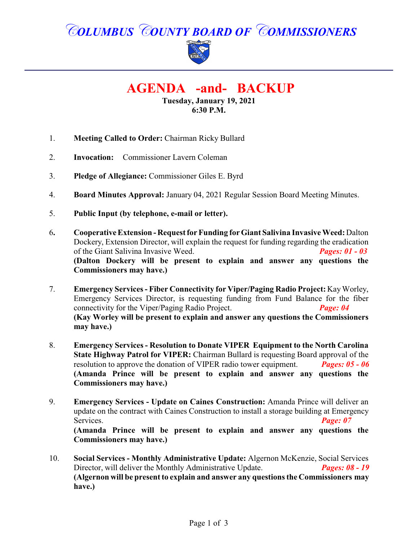# *COLUMBUS COUNTY BOARD OF COMMISSIONERS*



# **AGENDA -and- BACKUP**

**Tuesday, January 19, 2021 6:30 P.M.**

- 1. **Meeting Called to Order:** Chairman Ricky Bullard
- 2. **Invocation:** Commissioner Lavern Coleman
- 3. **Pledge of Allegiance:** Commissioner Giles E. Byrd
- 4. **Board Minutes Approval:** January 04, 2021 Regular Session Board Meeting Minutes.
- 5. **Public Input (by telephone, e-mail or letter).**
- 6**. Cooperative Extension Request for Funding for Giant Salivina Invasive Weed:** Dalton Dockery, Extension Director, will explain the request for funding regarding the eradication of the Giant Salivina Invasive Weed. *Pages: 01 - 03* **(Dalton Dockery will be present to explain and answer any questions the Commissioners may have.)**
- 7. **Emergency Services Fiber Connectivity for Viper/Paging Radio Project:** KayWorley, Emergency Services Director, is requesting funding from Fund Balance for the fiber connectivity for the Viper/Paging Radio Project. *Page: 04* **(Kay Worley will be present to explain and answer any questions the Commissioners may have.)**
- 8. **Emergency Services Resolution to Donate VIPER Equipment to the North Carolina State Highway Patrol for VIPER:** Chairman Bullard is requesting Board approval of the resolution to approve the donation of VIPER radio tower equipment. *Pages: 05 - 06* **(Amanda Prince will be present to explain and answer any questions the Commissioners may have.)**
- 9. **Emergency Services Update on Caines Construction:** Amanda Prince will deliver an update on the contract with Caines Construction to install a storage building at Emergency Services. *Page: 07* **(Amanda Prince will be present to explain and answer any questions the Commissioners may have.)**
- 10. **Social Services Monthly Administrative Update:** Algernon McKenzie, Social Services Director, will deliver the Monthly Administrative Update. *Pages: 08 - 19* **(Algernon will be present to explain and answer any questions the Commissioners may have.)**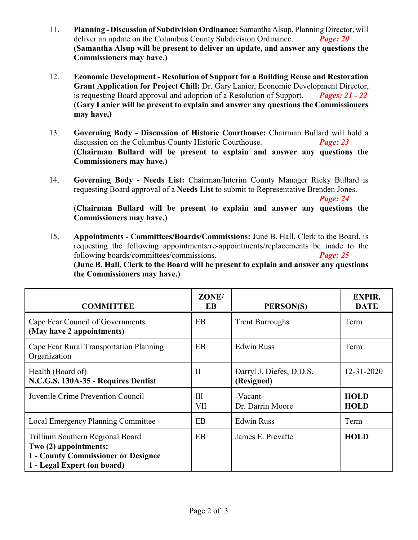- 11. **Planning Discussion of Subdivision Ordinance:**SamanthaAlsup, PlanningDirector, will deliver an update on the Columbus County Subdivision Ordinance. *Page: 20* **(Samantha Alsup will be present to deliver an update, and answer any questions the Commissioners may have.)**
- 12. **Economic Development Resolution of Support for a Building Reuse and Restoration Grant Application for Project Chill:** Dr. Gary Lanier, Economic Development Director, is requesting Board approval and adoption of a Resolution of Support. *Pages: 21 - 22* **(Gary Lanier will be present to explain and answer any questions the Commissioners may have,)**
- 13. **Governing Body Discussion of Historic Courthouse:** Chairman Bullard will hold a discussion on the Columbus County Historic Courthouse. *Page: 23* **(Chairman Bullard will be present to explain and answer any questions the Commissioners may have.)**
- 14. **Governing Body Needs List:** Chairman/Interim County Manager Ricky Bullard is requesting Board approval of a **Needs List** to submit to Representative Brenden Jones.

*Page: 24* 

**(Chairman Bullard will be present to explain and answer any questions the Commissioners may have.)**

15. **Appointments - Committees/Boards/Commissions:** June B. Hall, Clerk to the Board, is requesting the following appointments/re-appointments/replacements be made to the following boards/committees/commissions. *Page: 25* **(June B. Hall, Clerk to the Board will be present to explain and answer any questions the Commissioners may have.)**

| <b>COMMITTEE</b>                                                                                                                       | ZONE/<br>EB  | PERSON(S)                              | <b>EXPIR.</b><br><b>DATE</b> |
|----------------------------------------------------------------------------------------------------------------------------------------|--------------|----------------------------------------|------------------------------|
| Cape Fear Council of Governments<br>(May have 2 appointments)                                                                          | EB           | <b>Trent Burroughs</b>                 | Term                         |
| Cape Fear Rural Transportation Planning<br>Organization                                                                                | <b>EB</b>    | <b>Edwin Russ</b>                      | Term                         |
| Health (Board of)<br>N.C.G.S. 130A-35 - Requires Dentist                                                                               | $\mathbf{I}$ | Darryl J. Diefes, D.D.S.<br>(Resigned) | $12 - 31 - 2020$             |
| Juvenile Crime Prevention Council                                                                                                      | III<br>VII   | -Vacant-<br>Dr. Darrin Moore           | <b>HOLD</b><br><b>HOLD</b>   |
| <b>Local Emergency Planning Committee</b>                                                                                              | EB           | <b>Edwin Russ</b>                      | Term                         |
| Trillium Southern Regional Board<br>Two (2) appointments:<br><b>1 - County Commissioner or Designee</b><br>1 - Legal Expert (on board) | <b>EB</b>    | James E. Prevatte                      | <b>HOLD</b>                  |